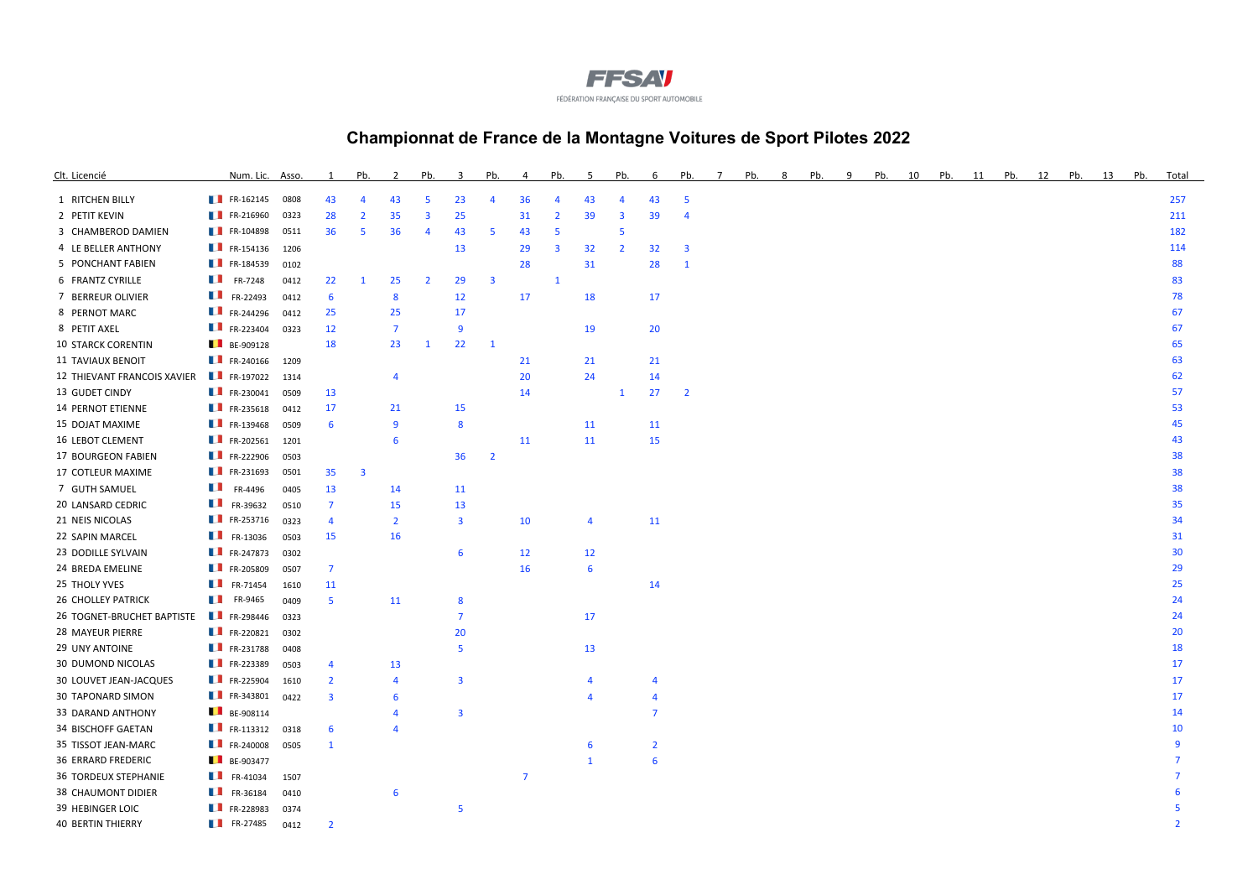

## **Championnat de France de la Montagne Voitures de Sport Pilotes 2022**

| Clt. Licencié               | Num. Lic. Asso.          |      |                         | Pb.                     |                | Pb.                     | $\mathbf{R}$            | Pb.                     | 4              | Pb.                     | 5              | Pb.                     | 6              | Pb.                     | Pb. | Pb. | q | Pb. | 10 | Pb. | 11 | Pb. | 12 | Pb. | 13 | Pb. | Total |
|-----------------------------|--------------------------|------|-------------------------|-------------------------|----------------|-------------------------|-------------------------|-------------------------|----------------|-------------------------|----------------|-------------------------|----------------|-------------------------|-----|-----|---|-----|----|-----|----|-----|----|-----|----|-----|-------|
| 1 RITCHEN BILLY             | $\blacksquare$ FR-162145 | 0808 | 43                      | 4                       | 43             | 5                       | 23                      | 4                       | 36             | $\overline{4}$          | 43             | 4                       | 43             | 5                       |     |     |   |     |    |     |    |     |    |     |    |     | 257   |
| 2 PETIT KEVIN               | FR-216960                | 0323 | 28                      | 2                       | 35             | $\overline{\mathbf{3}}$ | 25                      |                         | 31             | $\overline{2}$          | 39             | $\overline{\mathbf{3}}$ | 39             | 4                       |     |     |   |     |    |     |    |     |    |     |    |     | 211   |
| 3 CHAMBEROD DAMIEN          | FR-104898                | 0511 | 36                      | 5                       | 36             | $\overline{4}$          | 43                      | 5                       | 43             | -5                      |                | 5                       |                |                         |     |     |   |     |    |     |    |     |    |     |    |     | 182   |
| 4 LE BELLER ANTHONY         | FR-154136                | 1206 |                         |                         |                |                         | 13                      |                         | 29             | $\overline{\mathbf{3}}$ | 32             | $\overline{2}$          | 32             | $\overline{\mathbf{3}}$ |     |     |   |     |    |     |    |     |    |     |    |     | 114   |
| 5 PONCHANT FABIEN           | FR-184539                | 0102 |                         |                         |                |                         |                         |                         | 28             |                         | 31             |                         | 28             | $\mathbf{1}$            |     |     |   |     |    |     |    |     |    |     |    |     | 88    |
| 6 FRANTZ CYRILLE            | $\blacksquare$ FR-7248   | 0412 | 22                      | 1                       | 25             | $\overline{2}$          | 29                      | $\overline{\mathbf{3}}$ |                | $\mathbf{1}$            |                |                         |                |                         |     |     |   |     |    |     |    |     |    |     |    |     | 83    |
| 7 BERREUR OLIVIER           | FR-22493                 | 0412 | 6                       |                         | 8              |                         | 12                      |                         | 17             |                         | 18             |                         | 17             |                         |     |     |   |     |    |     |    |     |    |     |    |     | 78    |
| 8 PERNOT MARC               | $\blacksquare$ FR-244296 | 0412 | 25                      |                         | 25             |                         | 17                      |                         |                |                         |                |                         |                |                         |     |     |   |     |    |     |    |     |    |     |    |     | 67    |
| 8 PETIT AXEL                | FR-223404                | 0323 | 12                      |                         | $\overline{7}$ |                         | 9                       |                         |                |                         | 19             |                         | 20             |                         |     |     |   |     |    |     |    |     |    |     |    |     | 67    |
| <b>10 STARCK CORENTIN</b>   | BE-909128                |      | 18                      |                         | 23             | $\mathbf{1}$            | 22                      | $\mathbf{1}$            |                |                         |                |                         |                |                         |     |     |   |     |    |     |    |     |    |     |    |     | 65    |
| <b>11 TAVIAUX BENOIT</b>    | FR-240166                | 1209 |                         |                         |                |                         |                         |                         | 21             |                         | 21             |                         | 21             |                         |     |     |   |     |    |     |    |     |    |     |    |     | 63    |
| 12 THIEVANT FRANCOIS XAVIER | FR-197022                | 1314 |                         |                         | $\overline{4}$ |                         |                         |                         | 20             |                         | 24             |                         | 14             |                         |     |     |   |     |    |     |    |     |    |     |    |     | 62    |
| 13 GUDET CINDY              | $\blacksquare$ FR-230041 | 0509 | 13                      |                         |                |                         |                         |                         | 14             |                         |                | $\mathbf{1}$            | 27             | $\overline{2}$          |     |     |   |     |    |     |    |     |    |     |    |     | 57    |
| 14 PERNOT ETIENNE           | $\blacksquare$ FR-235618 | 0412 | 17                      |                         | 21             |                         | 15                      |                         |                |                         |                |                         |                |                         |     |     |   |     |    |     |    |     |    |     |    |     | 53    |
| 15 DOJAT MAXIME             | $\blacksquare$ FR-139468 | 0509 | 6                       |                         | $\overline{9}$ |                         | 8                       |                         |                |                         | 11             |                         | 11             |                         |     |     |   |     |    |     |    |     |    |     |    |     | 45    |
| 16 LEBOT CLEMENT            | $\blacksquare$ FR-202561 | 1201 |                         |                         | 6              |                         |                         |                         | 11             |                         | 11             |                         | 15             |                         |     |     |   |     |    |     |    |     |    |     |    |     | 43    |
| 17 BOURGEON FABIEN          | FR-222906                | 0503 |                         |                         |                |                         | 36                      | $\overline{2}$          |                |                         |                |                         |                |                         |     |     |   |     |    |     |    |     |    |     |    |     | 38    |
| 17 COTLEUR MAXIME           | <b>FR-231693</b>         | 0501 | 35                      | $\overline{\mathbf{3}}$ |                |                         |                         |                         |                |                         |                |                         |                |                         |     |     |   |     |    |     |    |     |    |     |    |     | 38    |
| 7 GUTH SAMUEL               | $\blacksquare$ FR-4496   | 0405 | 13                      |                         | 14             |                         | 11                      |                         |                |                         |                |                         |                |                         |     |     |   |     |    |     |    |     |    |     |    |     | 38    |
| 20 LANSARD CEDRIC           | $\blacksquare$ FR-39632  | 0510 | $\overline{7}$          |                         | 15             |                         | 13                      |                         |                |                         |                |                         |                |                         |     |     |   |     |    |     |    |     |    |     |    |     | 35    |
| 21 NEIS NICOLAS             | FR-253716                | 0323 | $\overline{4}$          |                         | $\overline{2}$ |                         | $\overline{\mathbf{3}}$ |                         | 10             |                         | 4              |                         | 11             |                         |     |     |   |     |    |     |    |     |    |     |    |     | 34    |
| 22 SAPIN MARCEL             | $\blacksquare$ FR-13036  | 0503 | 15                      |                         | 16             |                         |                         |                         |                |                         |                |                         |                |                         |     |     |   |     |    |     |    |     |    |     |    |     | 31    |
| 23 DODILLE SYLVAIN          | $\blacksquare$ FR-247873 | 0302 |                         |                         |                |                         | 6                       |                         | 12             |                         | 12             |                         |                |                         |     |     |   |     |    |     |    |     |    |     |    |     | 30    |
| 24 BREDA EMELINE            | FR-205809                | 0507 | $\overline{7}$          |                         |                |                         |                         |                         | 16             |                         | 6              |                         |                |                         |     |     |   |     |    |     |    |     |    |     |    |     | 29    |
| 25 THOLY YVES               | $\blacksquare$ FR-71454  | 1610 | 11                      |                         |                |                         |                         |                         |                |                         |                |                         | 14             |                         |     |     |   |     |    |     |    |     |    |     |    |     | 25    |
| <b>26 CHOLLEY PATRICK</b>   | $\blacksquare$ FR-9465   | 0409 | $5^{\circ}$             |                         | 11             |                         | 8                       |                         |                |                         |                |                         |                |                         |     |     |   |     |    |     |    |     |    |     |    |     | 24    |
| 26 TOGNET-BRUCHET BAPTISTE  | FR-298446                | 0323 |                         |                         |                |                         | $\overline{7}$          |                         |                |                         | 17             |                         |                |                         |     |     |   |     |    |     |    |     |    |     |    |     | 24    |
| 28 MAYEUR PIERRE            | FR-220821                | 0302 |                         |                         |                |                         | 20                      |                         |                |                         |                |                         |                |                         |     |     |   |     |    |     |    |     |    |     |    |     | 20    |
| 29 UNY ANTOINE              | FR-231788                | 0408 |                         |                         |                |                         | 5                       |                         |                |                         | 13             |                         |                |                         |     |     |   |     |    |     |    |     |    |     |    |     | 18    |
| 30 DUMOND NICOLAS           | $\blacksquare$ FR-223389 | 0503 | 4                       |                         | 13             |                         |                         |                         |                |                         |                |                         |                |                         |     |     |   |     |    |     |    |     |    |     |    |     | 17    |
| 30 LOUVET JEAN-JACQUES      | $\blacksquare$ FR-225904 | 1610 | $\overline{2}$          |                         | $\overline{4}$ |                         | $\overline{\mathbf{3}}$ |                         |                |                         | $\overline{4}$ |                         |                |                         |     |     |   |     |    |     |    |     |    |     |    |     | 17    |
| 30 TAPONARD SIMON           | FR-343801                | 0422 | $\overline{\mathbf{3}}$ |                         | 6              |                         |                         |                         |                |                         | $\overline{4}$ |                         | 4              |                         |     |     |   |     |    |     |    |     |    |     |    |     | 17    |
| 33 DARAND ANTHONY           | $B = -908114$            |      |                         |                         | $\overline{4}$ |                         | 3                       |                         |                |                         |                |                         | $\overline{7}$ |                         |     |     |   |     |    |     |    |     |    |     |    |     | 14    |
| <b>34 BISCHOFF GAETAN</b>   | $\blacksquare$ FR-113312 | 0318 | 6                       |                         | $\Delta$       |                         |                         |                         |                |                         |                |                         |                |                         |     |     |   |     |    |     |    |     |    |     |    |     | 10    |
| 35 TISSOT JEAN-MARC         | $\blacksquare$ FR-240008 | 0505 | $\mathbf{1}$            |                         |                |                         |                         |                         |                |                         | 6              |                         | $\overline{2}$ |                         |     |     |   |     |    |     |    |     |    |     |    |     |       |
| <b>36 ERRARD FREDERIC</b>   | $BE-903477$              |      |                         |                         |                |                         |                         |                         |                |                         | $\mathbf{1}$   |                         | 6              |                         |     |     |   |     |    |     |    |     |    |     |    |     |       |
| <b>36 TORDEUX STEPHANIE</b> | $\blacksquare$ FR-41034  | 1507 |                         |                         |                |                         |                         |                         | $\overline{7}$ |                         |                |                         |                |                         |     |     |   |     |    |     |    |     |    |     |    |     |       |
| <b>38 CHAUMONT DIDIER</b>   | $\blacksquare$ FR-36184  | 0410 |                         |                         | 6              |                         |                         |                         |                |                         |                |                         |                |                         |     |     |   |     |    |     |    |     |    |     |    |     |       |
| 39 HEBINGER LOIC            | FR-228983                | 0374 |                         |                         |                |                         | -5                      |                         |                |                         |                |                         |                |                         |     |     |   |     |    |     |    |     |    |     |    |     |       |
| <b>40 BERTIN THIERRY</b>    | <b>FR-27485</b>          | 0412 | $\overline{2}$          |                         |                |                         |                         |                         |                |                         |                |                         |                |                         |     |     |   |     |    |     |    |     |    |     |    |     |       |